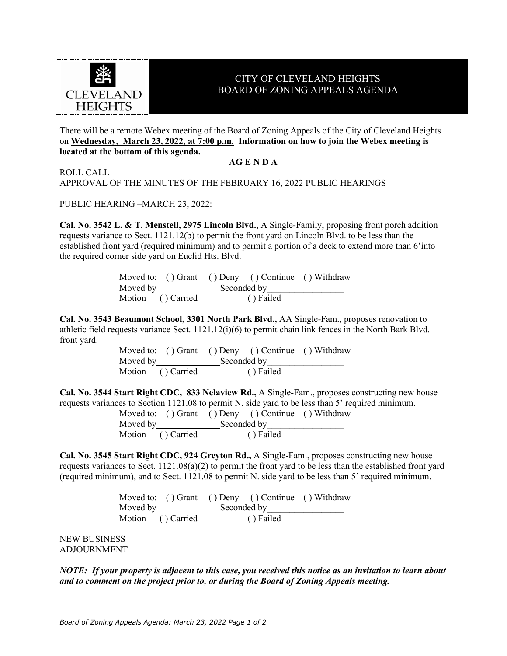

## CITY OF CLEVELAND HEIGHTS BOARD OF ZONING APPEALS AGENDA

There will be a remote Webex meeting of the Board of Zoning Appeals of the City of Cleveland Heights on **Wednesday, March 23, 2022, at 7:00 p.m. Information on how to join the Webex meeting is located at the bottom of this agenda.**

## **AG E N D A**

ROLL CALL

APPROVAL OF THE MINUTES OF THE FEBRUARY 16, 2022 PUBLIC HEARINGS

PUBLIC HEARING –MARCH 23, 2022:

**Cal. No. 3542 L. & T. Menstell, 2975 Lincoln Blvd.,** A Single-Family, proposing front porch addition requests variance to Sect. 1121.12(b) to permit the front yard on Lincoln Blvd. to be less than the established front yard (required minimum) and to permit a portion of a deck to extend more than 6'into the required corner side yard on Euclid Hts. Blvd.

|                         |             | Moved to: () Grant () Deny () Continue () Withdraw |  |
|-------------------------|-------------|----------------------------------------------------|--|
| Moved by <b>Example</b> | Seconded by |                                                    |  |
| Motion () Carried       |             | () Failed                                          |  |

**Cal. No. 3543 Beaumont School, 3301 North Park Blvd.,** AA Single-Fam., proposes renovation to athletic field requests variance Sect. 1121.12(i)(6) to permit chain link fences in the North Bark Blvd. front yard.

|                   | Moved to: () Grant () Deny () Continue () Withdraw |  |
|-------------------|----------------------------------------------------|--|
|                   | Moved by Seconded by                               |  |
| Motion () Carried | () Failed                                          |  |

**Cal. No. 3544 Start Right CDC, 833 Nelaview Rd.,** A Single-Fam., proposes constructing new house requests variances to Section 1121.08 to permit N. side yard to be less than 5' required minimum.

|                        |             | Moved to: () Grant () Deny () Continue () Withdraw |  |
|------------------------|-------------|----------------------------------------------------|--|
| Moved by $\sqrt{2\pi}$ | Seconded by |                                                    |  |
| Motion () Carried      |             | () Failed                                          |  |

**Cal. No. 3545 Start Right CDC, 924 Greyton Rd.,** A Single-Fam., proposes constructing new house requests variances to Sect. 1121.08(a)(2) to permit the front yard to be less than the established front yard (required minimum), and to Sect. 1121.08 to permit N. side yard to be less than 5' required minimum.

|                         |             | Moved to: () Grant () Deny () Continue () Withdraw |  |
|-------------------------|-------------|----------------------------------------------------|--|
| Moved by November 1988. | Seconded by |                                                    |  |
| Motion () Carried       |             | () Failed                                          |  |

NEW BUSINESS ADJOURNMENT

*NOTE: If your property is adjacent to this case, you received this notice as an invitation to learn about and to comment on the project prior to, or during the Board of Zoning Appeals meeting.*